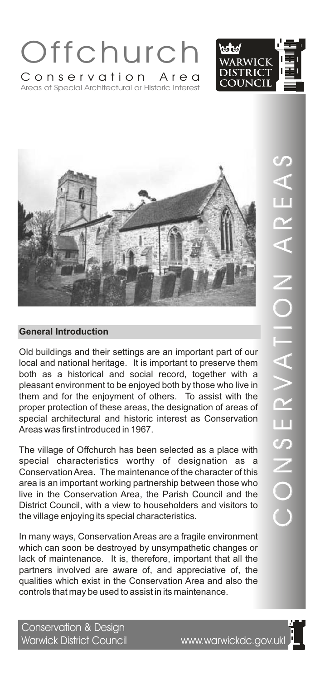





Old buildings and their settings are an important part of our local and national heritage. It is important to preserve them both as a historical and social record, together with a pleasant environment to be enjoyed both by those who live in them and for the enjoyment of others. To assist with the proper protection of these areas, the designation of areas of special architectural and historic interest as Conservation Areas was first introduced in 1967.

The village of Offchurch has been selected as a place with special characteristics worthy of designation as a Conservation Area. The maintenance of the character of this area is an important working partnership between those who live in the Conservation Area, the Parish Council and the District Council, with a view to householders and visitors to the village enjoying its special characteristics.

In many ways, Conservation Areas are a fragile environment which can soon be destroyed by unsympathetic changes or lack of maintenance. It is, therefore, important that all the partners involved are aware of, and appreciative of, the qualities which exist in the Conservation Area and also the controls that may be used to assist in its maintenance.

Conservation & Design Warwick District Council www.warwickdc.gov.ukl

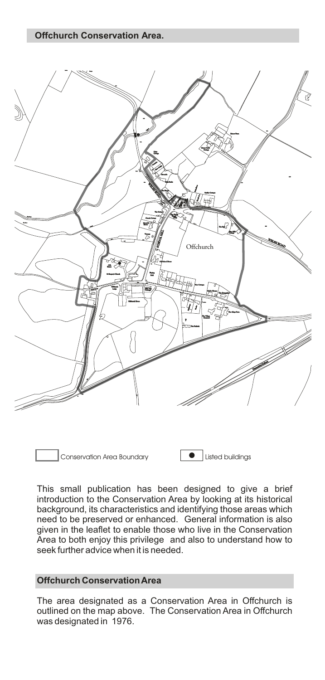**Offchurch Conservation Area.**



Conservation Area Boundary **Definition** Listed buildings

This small publication has been designed to give a brief introduction to the Conservation Area by looking at its historical background, its characteristics and identifying those areas which need to be preserved or enhanced. General information is also given in the leaflet to enable those who live in the Conservation Area to both enjoy this privilege and also to understand how to seek further advice when it is needed.

### **Offchurch Conservation Area**

The area designated as a Conservation Area in Offchurch is outlined on the map above. The Conservation Area in Offchurch was designated in 1976.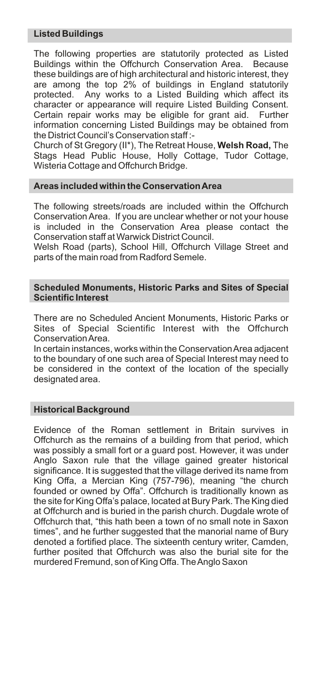# **Listed Buildings**

The following properties are statutorily protected as Listed Buildings within the Offchurch Conservation Area. Because these buildings are of high architectural and historic interest, they are among the top 2% of buildings in England statutorily protected. Any works to a Listed Building which affect its character or appearance will require Listed Building Consent. Certain repair works may be eligible for grant aid. Further information concerning Listed Buildings may be obtained from the District Council's Conservation staff :-

Church of St Gregory (II\*), The Retreat House, **Welsh Road,** The Stags Head Public House, Holly Cottage, Tudor Cottage, Wisteria Cottage and Offchurch Bridge.

# **Areas included within the Conservation Area**

The following streets/roads are included within the Offchurch Conservation Area. If you are unclear whether or not your house is included in the Conservation Area please contact the Conservation staff at Warwick District Council.

Welsh Road (parts), School Hill, Offchurch Village Street and parts of the main road from Radford Semele.

#### **Scheduled Monuments, Historic Parks and Sites of Special Scientific Interest**

There are no Scheduled Ancient Monuments, Historic Parks or Sites of Special Scientific Interest with the Offchurch Conservation Area.

In certain instances, works within the Conservation Area adjacent to the boundary of one such area of Special Interest may need to be considered in the context of the location of the specially designated area.

# **Historical Background**

Evidence of the Roman settlement in Britain survives in Offchurch as the remains of a building from that period, which was possibly a small fort or a guard post. However, it was under Anglo Saxon rule that the village gained greater historical significance. It is suggested that the village derived its name from King Offa, a Mercian King (757-796), meaning "the church founded or owned by Offa". Offchurch is traditionally known as the site for King Offa's palace, located at Bury Park. The King died at Offchurch and is buried in the parish church. Dugdale wrote of Offchurch that, "this hath been a town of no small note in Saxon times", and he further suggested that the manorial name of Bury denoted a fortified place. The sixteenth century writer, Camden, further posited that Offchurch was also the burial site for the murdered Fremund, son of King Offa. The Anglo Saxon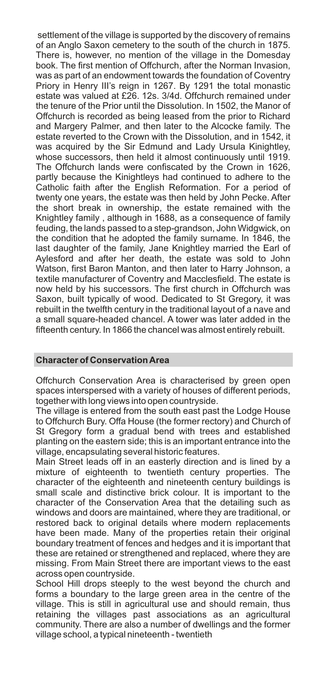settlement of the village is supported by the discovery of remains of an Anglo Saxon cemetery to the south of the church in 1875. There is, however, no mention of the village in the Domesday book. The first mention of Offchurch, after the Norman Invasion, was as part of an endowment towards the foundation of Coventry Priory in Henry III's reign in 1267. By 1291 the total monastic estate was valued at £26. 12s. 3/4d. Offchurch remained under the tenure of the Prior until the Dissolution. In 1502, the Manor of Offchurch is recorded as being leased from the prior to Richard and Margery Palmer, and then later to the Alcocke family. The estate reverted to the Crown with the Dissolution, and in 1542, it was acquired by the Sir Edmund and Lady Ursula Kinightley. whose successors, then held it almost continuously until 1919. The Offchurch lands were confiscated by the Crown in 1626, partly because the Kinightleys had continued to adhere to the Catholic faith after the English Reformation. For a period of twenty one years, the estate was then held by John Pecke. After the short break in ownership, the estate remained with the Knightley family , although in 1688, as a consequence of family feuding, the lands passed to a step-grandson, John Widgwick, on the condition that he adopted the family surname. In 1846, the last daughter of the family, Jane Knightley married the Earl of Aylesford and after her death, the estate was sold to John Watson, first Baron Manton, and then later to Harry Johnson, a textile manufacturer of Coventry and Macclesfield. The estate is now held by his successors. The first church in Offchurch was Saxon, built typically of wood. Dedicated to St Gregory, it was rebuilt in the twelfth century in the traditional layout of a nave and a small square-headed chancel. A tower was later added in the fifteenth century. In 1866 the chancel was almost entirely rebuilt.

#### **Character of Conservation Area**

Offchurch Conservation Area is characterised by green open spaces interspersed with a variety of houses of different periods, together with long views into open countryside.

The village is entered from the south east past the Lodge House to Offchurch Bury. Offa House (the former rectory) and Church of St Gregory form a gradual bend with trees and established planting on the eastern side; this is an important entrance into the village, encapsulating several historic features.

Main Street leads off in an easterly direction and is lined by a mixture of eighteenth to twentieth century properties. The character of the eighteenth and nineteenth century buildings is small scale and distinctive brick colour. It is important to the character of the Conservation Area that the detailing such as windows and doors are maintained, where they are traditional, or restored back to original details where modern replacements have been made. Many of the properties retain their original boundary treatment of fences and hedges and it is important that these are retained or strengthened and replaced, where they are missing. From Main Street there are important views to the east across open countryside.

School Hill drops steeply to the west beyond the church and forms a boundary to the large green area in the centre of the village. This is still in agricultural use and should remain, thus retaining the villages past associations as an agricultural community. There are also a number of dwellings and the former village school, a typical nineteenth - twentieth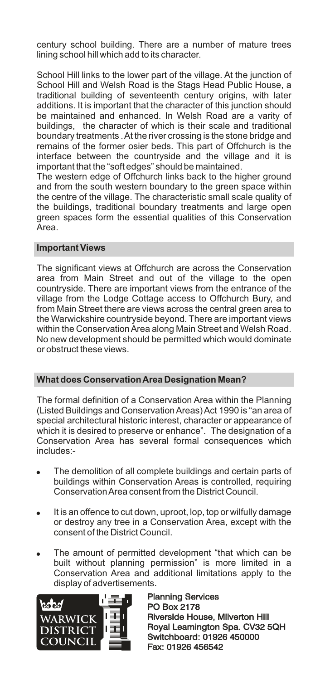century school building. There are a number of mature trees lining school hill which add to its character.

School Hill links to the lower part of the village. At the junction of School Hill and Welsh Road is the Stags Head Public House, a traditional building of seventeenth century origins, with later additions. It is important that the character of this junction should be maintained and enhanced. In Welsh Road are a varity of buildings, the character of which is their scale and traditional boundary treatments . At the river crossing is the stone bridge and remains of the former osier beds. This part of Offchurch is the interface between the countryside and the village and it is important that the "soft edges" should be maintained.

The western edge of Offchurch links back to the higher ground and from the south western boundary to the green space within the centre of the village. The characteristic small scale quality of the buildings, traditional boundary treatments and large open green spaces form the essential qualities of this Conservation Area.

#### **Important Views**

The significant views at Offchurch are across the Conservation area from Main Street and out of the village to the open countryside. There are important views from the entrance of the village from the Lodge Cottage access to Offchurch Bury, and from Main Street there are views across the central green area to the Warwickshire countryside beyond. There are important views within the Conservation Area along Main Street and Welsh Road. No new development should be permitted which would dominate or obstruct these views.

# **What does Conservation Area Designation Mean?**

The formal definition of a Conservation Area within the Planning (Listed Buildings and Conservation Areas) Act 1990 is "an area of special architectural historic interest, character or appearance of which it is desired to preserve or enhance". The designation of a Conservation Area has several formal consequences which includes:-

- The demolition of all complete buildings and certain parts of buildings within Conservation Areas is controlled, requiring Conservation Area consent from the District Council.
- It is an offence to cut down, uproot, lop, top or wilfully damage or destroy any tree in a Conservation Area, except with the consent of the District Council.
- The amount of permitted development "that which can be built without planning permission" is more limited in a Conservation Area and additional limitations apply to the display of advertisements.



Planning Services PO Box 2178 Planning Services<br>PO Box 2178<br>Riverside House, Milverton Hill Royal Leamington Spa. CV32 5QH Switchboard: 01926 450000 Fax: 01926 456542 Royal Leamington Spa. CV32<br>Switchboard: 01926 450000<br>Fax: 01926 456542